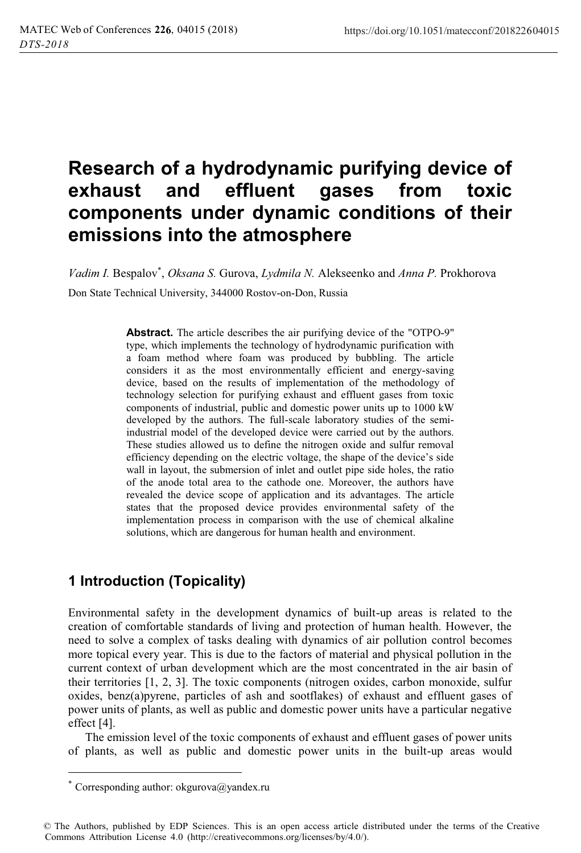# **Research of a hydrodynamic purifying device of exhaust and effluent gases from toxic components under dynamic conditions of their emissions into the atmosphere**

*Vadim I.* Bespalov\* , *Oksana S.* Gurova, *Lydmila N.* Alekseenko and *Anna P.* Prokhorova

Don State Technical University, 344000 Rostov-on-Don, Russia

**Abstract.** The article describes the air purifying device of the "OTPO-9" type, which implements the technology of hydrodynamic purification with a foam method where foam was produced by bubbling. The article considers it as the most environmentally efficient and energy-saving device, based on the results of implementation of the methodology of technology selection for purifying exhaust and effluent gases from toxic components of industrial, public and domestic power units up to 1000 kW developed by the authors. The full-scale laboratory studies of the semiindustrial model of the developed device were carried out by the authors. These studies allowed us to define the nitrogen oxide and sulfur removal efficiency depending on the electric voltage, the shape of the device's side wall in layout, the submersion of inlet and outlet pipe side holes, the ratio of the anode total area to the cathode one. Moreover, the authors have revealed the device scope of application and its advantages. The article states that the proposed device provides environmental safety of the implementation process in comparison with the use of chemical alkaline solutions, which are dangerous for human health and environment.

## **1 Introduction (Topicality)**

Environmental safety in the development dynamics of built-up areas is related to the creation of comfortable standards of living and protection of human health. However, the need to solve a complex of tasks dealing with dynamics of air pollution control becomes more topical every year. This is due to the factors of material and physical pollution in the current context of urban development which are the most concentrated in the air basin of their territories [1, 2, 3]. The toxic components (nitrogen oxides, carbon monoxide, sulfur oxides, benz(a)pyrene, particles of ash and sootflakes) of exhaust and effluent gases of power units of plants, as well as public and domestic power units have a particular negative effect [4].

The emission level of the toxic components of exhaust and effluent gases of power units of plants, as well as public and domestic power units in the built-up areas would

 $\overline{a}$ 

Corresponding author: okgurova@yandex.ru

<sup>©</sup> The Authors, published by EDP Sciences. This is an open access article distributed under the terms of the Creative Commons Attribution License 4.0 (http://creativecommons.org/licenses/by/4.0/).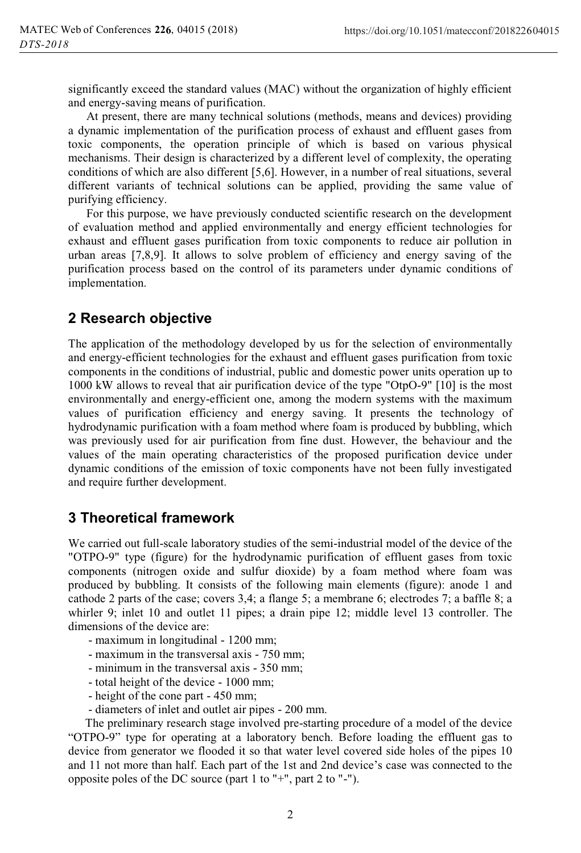significantly exceed the standard values (MAC) without the organization of highly efficient and energy-saving means of purification.

At present, there are many technical solutions (methods, means and devices) providing a dynamic implementation of the purification process of exhaust and effluent gases from toxic components, the operation principle of which is based on various physical mechanisms. Their design is characterized by a different level of complexity, the operating conditions of which are also different [5,6]. However, in a number of real situations, several different variants of technical solutions can be applied, providing the same value of purifying efficiency.

For this purpose, we have previously conducted scientific research on the development of evaluation method and applied environmentally and energy efficient technologies for exhaust and effluent gases purification from toxic components to reduce air pollution in urban areas [7,8,9]. It allows to solve problem of efficiency and energy saving of the purification process based on the control of its parameters under dynamic conditions of implementation.

### **2 Research objective**

The application of the methodology developed by us for the selection of environmentally and energy-efficient technologies for the exhaust and effluent gases purification from toxic components in the conditions of industrial, public and domestic power units operation up to 1000 kW allows to reveal that air purification device of the type "OtpO-9" [10] is the most environmentally and energy-efficient one, among the modern systems with the maximum values of purification efficiency and energy saving. It presents the technology of hydrodynamic purification with a foam method where foam is produced by bubbling, which was previously used for air purification from fine dust. However, the behaviour and the values of the main operating characteristics of the proposed purification device under dynamic conditions of the emission of toxic components have not been fully investigated and require further development.

#### **3 Theoretical framework**

We carried out full-scale laboratory studies of the semi-industrial model of the device of the "OTPO-9" type (figure) for the hydrodynamic purification of effluent gases from toxic components (nitrogen oxide and sulfur dioxide) by a foam method where foam was produced by bubbling. It consists of the following main elements (figure): anode 1 and cathode 2 parts of the case; covers 3,4; a flange 5; a membrane 6; electrodes 7; a baffle 8; a whirler 9; inlet 10 and outlet 11 pipes; a drain pipe 12; middle level 13 controller. The dimensions of the device are:

- maximum in longitudinal 1200 mm;
- maximum in the transversal axis 750 mm;
- minimum in the transversal axis 350 mm;
- total height of the device 1000 mm;
- height of the cone part 450 mm;
- diameters of inlet and outlet air pipes 200 mm.

The preliminary research stage involved pre-starting procedure of a model of the device "OTPO-9" type for operating at a laboratory bench. Before loading the effluent gas to device from generator we flooded it so that water level covered side holes of the pipes 10 and 11 not more than half. Each part of the 1st and 2nd device's case was connected to the opposite poles of the DC source (part 1 to "+", part 2 to "-").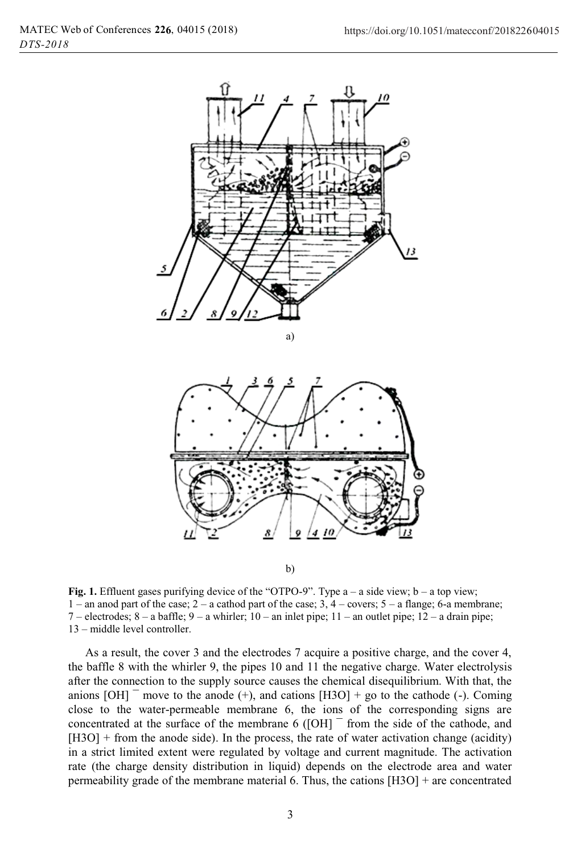

b)

**Fig. 1.** Effluent gases purifying device of the "OTPO-9". Type a – a side view; b – a top view; 1 – an anod part of the case; 2 – a cathod part of the case; 3, 4 – covers; 5 – a flange; 6-a membrane; 7 – electrodes; 8 – a baffle; 9 – a whirler; 10 – an inlet pipe; 11 – an outlet pipe; 12 – a drain pipe; 13 – middle level controller.

As a result, the cover 3 and the electrodes 7 acquire a positive charge, and the cover 4, the baffle 8 with the whirler 9, the pipes 10 and 11 the negative charge. Water electrolysis after the connection to the supply source causes the chemical disequilibrium. With that, the anions  $[OH]$ <sup>-</sup> move to the anode (+), and cations  $[H3O]$  + go to the cathode (-). Coming close to the water-permeable membrane 6, the ions of the corresponding signs are concentrated at the surface of the membrane 6 ( $[OH]$ <sup>-</sup> from the side of the cathode, and [H3O] + from the anode side). In the process, the rate of water activation change (acidity) in a strict limited extent were regulated by voltage and current magnitude. The activation rate (the charge density distribution in liquid) depends on the electrode area and water permeability grade of the membrane material 6. Thus, the cations  $[H3O]$  + are concentrated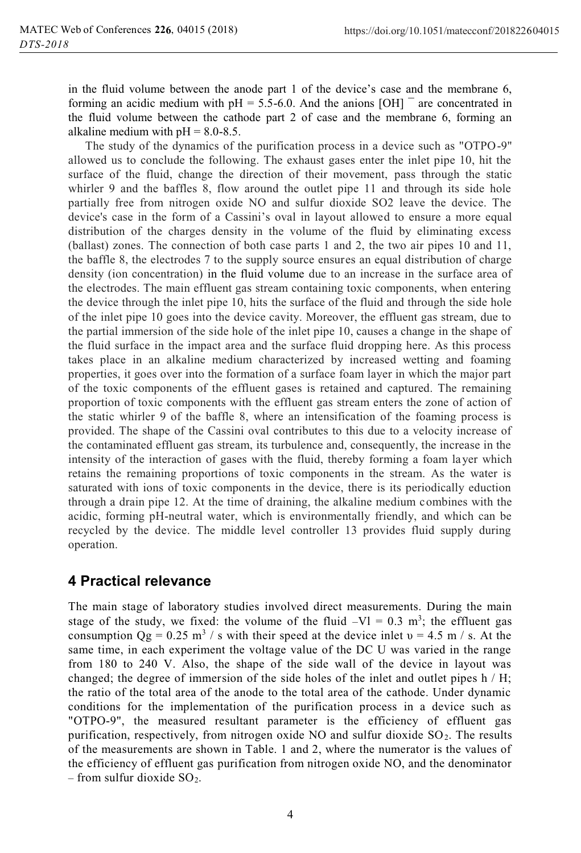in the fluid volume between the anode part 1 of the device's case and the membrane 6, forming an acidic medium with  $pH = 5.5{\text -}6.0$ . And the anions  $[OH]$ <sup>-</sup> are concentrated in the fluid volume between the cathode part 2 of case and the membrane 6, forming an alkaline medium with  $pH = 8.0 - 8.5$ .

The study of the dynamics of the purification process in a device such as "OTPO-9" allowed us to conclude the following. The exhaust gases enter the inlet pipe 10, hit the surface of the fluid, change the direction of their movement, pass through the static whirler 9 and the baffles 8, flow around the outlet pipe 11 and through its side hole partially free from nitrogen oxide NO and sulfur dioxide SO2 leave the device. The device's case in the form of a Cassini's oval in layout allowed to ensure a more equal distribution of the charges density in the volume of the fluid by eliminating excess (ballast) zones. The connection of both case parts 1 and 2, the two air pipes 10 and 11, the baffle 8, the electrodes 7 to the supply source ensures an equal distribution of charge density (ion concentration) in the fluid volume due to an increase in the surface area of the electrodes. The main effluent gas stream containing toxic components, when entering the device through the inlet pipe 10, hits the surface of the fluid and through the side hole of the inlet pipe 10 goes into the device cavity. Moreover, the effluent gas stream, due to the partial immersion of the side hole of the inlet pipe 10, causes a change in the shape of the fluid surface in the impact area and the surface fluid dropping here. As this process takes place in an alkaline medium characterized by increased wetting and foaming properties, it goes over into the formation of a surface foam layer in which the major part of the toxic components of the effluent gases is retained and captured. The remaining proportion of toxic components with the effluent gas stream enters the zone of action of the static whirler 9 of the baffle 8, where an intensification of the foaming process is provided. The shape of the Cassini oval contributes to this due to a velocity increase of the contaminated effluent gas stream, its turbulence and, consequently, the increase in the intensity of the interaction of gases with the fluid, thereby forming a foam layer which retains the remaining proportions of toxic components in the stream. As the water is saturated with ions of toxic components in the device, there is its periodically eduction through a drain pipe 12. At the time of draining, the alkaline medium combines with the acidic, forming pH-neutral water, which is environmentally friendly, and which can be recycled by the device. The middle level controller 13 provides fluid supply during operation.

#### **4 Practical relevance**

The main stage of laboratory studies involved direct measurements. During the main stage of the study, we fixed: the volume of the fluid  $-Vl = 0.3$  m<sup>3</sup>; the effluent gas consumption  $Qg = 0.25$  m<sup>3</sup> / s with their speed at the device inlet  $v = 4.5$  m / s. At the same time, in each experiment the voltage value of the DC U was varied in the range from 180 to 240 V. Also, the shape of the side wall of the device in layout was changed; the degree of immersion of the side holes of the inlet and outlet pipes  $h / H$ ; the ratio of the total area of the anode to the total area of the cathode. Under dynamic conditions for the implementation of the purification process in a device such as "OTPO-9", the measured resultant parameter is the efficiency of effluent gas purification, respectively, from nitrogen oxide NO and sulfur dioxide  $SO<sub>2</sub>$ . The results of the measurements are shown in Table. 1 and 2, where the numerator is the values of the efficiency of effluent gas purification from nitrogen oxide NO, and the denominator – from sulfur dioxide  $SO_2$ .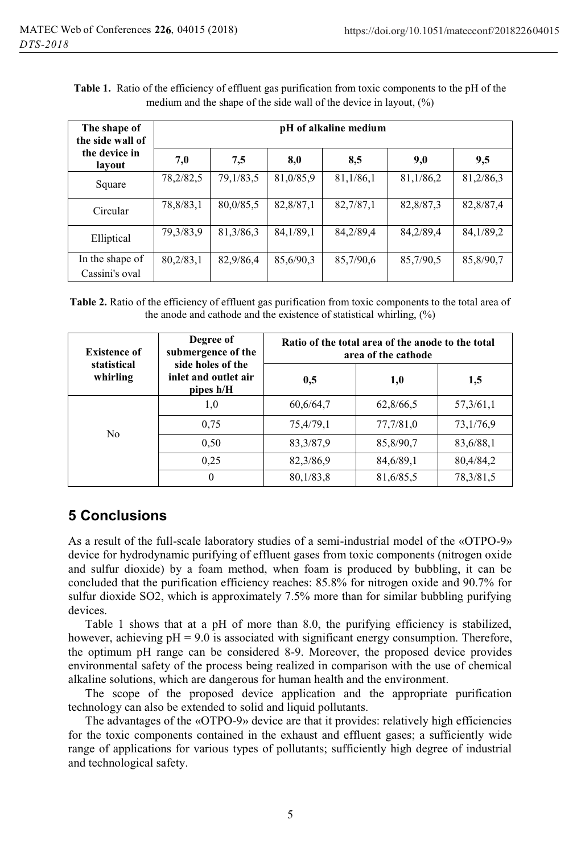| The shape of<br>the side wall of  | pH of alkaline medium |           |           |           |           |           |  |
|-----------------------------------|-----------------------|-----------|-----------|-----------|-----------|-----------|--|
| the device in<br>lavout           | 7,0                   | 7,5       | 8,0       | 8,5       | 9,0       | 9,5       |  |
| Square                            | 78,2/82,5             | 79,1/83,5 | 81,0/85,9 | 81,1/86,1 | 81,1/86,2 | 81,2/86,3 |  |
| Circular                          | 78,8/83,1             | 80,0/85,5 | 82,8/87,1 | 82,7/87,1 | 82,8/87,3 | 82,8/87,4 |  |
| Elliptical                        | 79,3/83,9             | 81,3/86,3 | 84,1/89,1 | 84,2/89,4 | 84,2/89,4 | 84,1/89,2 |  |
| In the shape of<br>Cassini's oval | 80,2/83,1             | 82,9/86,4 | 85,6/90,3 | 85,7/90,6 | 85,7/90,5 | 85,8/90,7 |  |

**Table 1.** Ratio of the efficiency of effluent gas purification from toxic components to the pH of the medium and the shape of the side wall of the device in layout, (%)

**Table 2.** Ratio of the efficiency of effluent gas purification from toxic components to the total area of the anode and cathode and the existence of statistical whirling, (%)

| <b>Existence of</b>     | Degree of<br>submergence of the                        | Ratio of the total area of the anode to the total<br>area of the cathode |           |             |  |
|-------------------------|--------------------------------------------------------|--------------------------------------------------------------------------|-----------|-------------|--|
| statistical<br>whirling | side holes of the<br>inlet and outlet air<br>pipes h/H | 0,5                                                                      | 1,0       | 1,5         |  |
| N <sub>0</sub>          | 1,0                                                    | 60,6/64,7                                                                | 62,8/66,5 | 57, 3/61, 1 |  |
|                         | 0.75                                                   | 75,4/79,1                                                                | 77,7/81,0 | 73,1/76,9   |  |
|                         | 0,50                                                   | 83, 3/87, 9                                                              | 85,8/90,7 | 83,6/88,1   |  |
|                         | 0.25                                                   | 82,3/86,9                                                                | 84,6/89,1 | 80,4/84,2   |  |
|                         | $\theta$                                               | 80,1/83,8                                                                | 81,6/85,5 | 78,3/81,5   |  |

## **5 Conclusions**

As a result of the full-scale laboratory studies of a semi-industrial model of the «OTPO-9» device for hydrodynamic purifying of effluent gases from toxic components (nitrogen oxide and sulfur dioxide) by a foam method, when foam is produced by bubbling, it can be concluded that the purification efficiency reaches: 85.8% for nitrogen oxide and 90.7% for sulfur dioxide SO2, which is approximately 7.5% more than for similar bubbling purifying devices.

Table 1 shows that at a pH of more than 8.0, the purifying efficiency is stabilized, however, achieving  $pH = 9.0$  is associated with significant energy consumption. Therefore, the optimum pH range can be considered 8-9. Moreover, the proposed device provides environmental safety of the process being realized in comparison with the use of chemical alkaline solutions, which are dangerous for human health and the environment.

The scope of the proposed device application and the appropriate purification technology can also be extended to solid and liquid pollutants.

The advantages of the «OTPO-9» device are that it provides: relatively high efficiencies for the toxic components contained in the exhaust and effluent gases; a sufficiently wide range of applications for various types of pollutants; sufficiently high degree of industrial and technological safety.